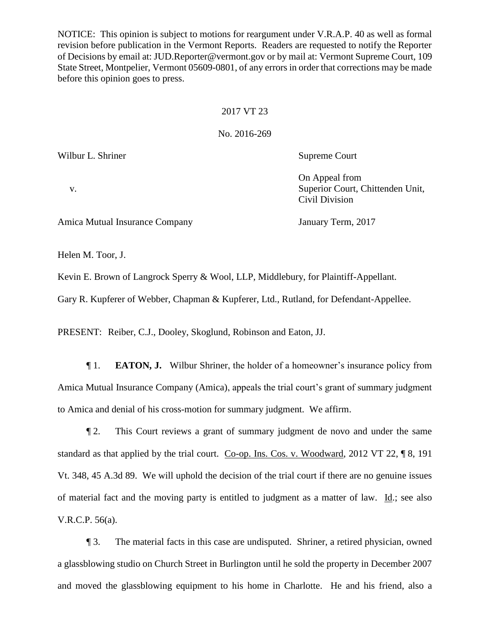NOTICE: This opinion is subject to motions for reargument under V.R.A.P. 40 as well as formal revision before publication in the Vermont Reports. Readers are requested to notify the Reporter of Decisions by email at: JUD.Reporter@vermont.gov or by mail at: Vermont Supreme Court, 109 State Street, Montpelier, Vermont 05609-0801, of any errors in order that corrections may be made before this opinion goes to press.

## 2017 VT 23

## No. 2016-269

Wilbur L. Shriner Supreme Court

On Appeal from v. Superior Court, Chittenden Unit, Civil Division

Amica Mutual Insurance Company January Term, 2017

Helen M. Toor, J.

Kevin E. Brown of Langrock Sperry & Wool, LLP, Middlebury, for Plaintiff-Appellant.

Gary R. Kupferer of Webber, Chapman & Kupferer, Ltd., Rutland, for Defendant-Appellee.

PRESENT: Reiber, C.J., Dooley, Skoglund, Robinson and Eaton, JJ.

¶ 1. **EATON, J.** Wilbur Shriner, the holder of a homeowner's insurance policy from Amica Mutual Insurance Company (Amica), appeals the trial court's grant of summary judgment to Amica and denial of his cross-motion for summary judgment. We affirm.

¶ 2. This Court reviews a grant of summary judgment de novo and under the same standard as that applied by the trial court. Co-op. Ins. Cos. v. Woodward, 2012 VT 22, ¶ 8, 191 Vt. 348, 45 A.3d 89. We will uphold the decision of the trial court if there are no genuine issues of material fact and the moving party is entitled to judgment as a matter of law. Id.; see also V.R.C.P. 56(a).

¶ 3. The material facts in this case are undisputed. Shriner, a retired physician, owned a glassblowing studio on Church Street in Burlington until he sold the property in December 2007 and moved the glassblowing equipment to his home in Charlotte. He and his friend, also a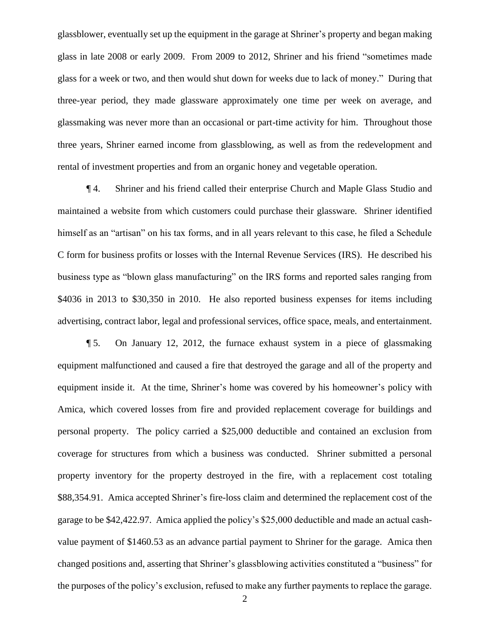glassblower, eventually set up the equipment in the garage at Shriner's property and began making glass in late 2008 or early 2009. From 2009 to 2012, Shriner and his friend "sometimes made glass for a week or two, and then would shut down for weeks due to lack of money." During that three-year period, they made glassware approximately one time per week on average, and glassmaking was never more than an occasional or part-time activity for him. Throughout those three years, Shriner earned income from glassblowing, as well as from the redevelopment and rental of investment properties and from an organic honey and vegetable operation.

¶ 4. Shriner and his friend called their enterprise Church and Maple Glass Studio and maintained a website from which customers could purchase their glassware. Shriner identified himself as an "artisan" on his tax forms, and in all years relevant to this case, he filed a Schedule C form for business profits or losses with the Internal Revenue Services (IRS). He described his business type as "blown glass manufacturing" on the IRS forms and reported sales ranging from \$4036 in 2013 to \$30,350 in 2010. He also reported business expenses for items including advertising, contract labor, legal and professional services, office space, meals, and entertainment.

¶ 5. On January 12, 2012, the furnace exhaust system in a piece of glassmaking equipment malfunctioned and caused a fire that destroyed the garage and all of the property and equipment inside it. At the time, Shriner's home was covered by his homeowner's policy with Amica, which covered losses from fire and provided replacement coverage for buildings and personal property. The policy carried a \$25,000 deductible and contained an exclusion from coverage for structures from which a business was conducted. Shriner submitted a personal property inventory for the property destroyed in the fire, with a replacement cost totaling \$88,354.91. Amica accepted Shriner's fire-loss claim and determined the replacement cost of the garage to be \$42,422.97. Amica applied the policy's \$25,000 deductible and made an actual cashvalue payment of \$1460.53 as an advance partial payment to Shriner for the garage. Amica then changed positions and, asserting that Shriner's glassblowing activities constituted a "business" for the purposes of the policy's exclusion, refused to make any further payments to replace the garage.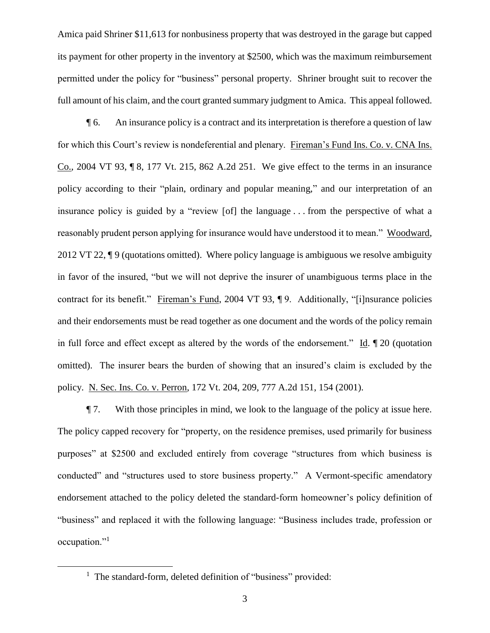Amica paid Shriner \$11,613 for nonbusiness property that was destroyed in the garage but capped its payment for other property in the inventory at \$2500, which was the maximum reimbursement permitted under the policy for "business" personal property. Shriner brought suit to recover the full amount of his claim, and the court granted summary judgment to Amica. This appeal followed.

¶ 6. An insurance policy is a contract and its interpretation is therefore a question of law for which this Court's review is nondeferential and plenary. Fireman's Fund Ins. Co. v. CNA Ins. Co., 2004 VT 93, ¶ 8, 177 Vt. 215, 862 A.2d 251. We give effect to the terms in an insurance policy according to their "plain, ordinary and popular meaning," and our interpretation of an insurance policy is guided by a "review [of] the language . . . from the perspective of what a reasonably prudent person applying for insurance would have understood it to mean." Woodward, 2012 VT 22, ¶ 9 (quotations omitted). Where policy language is ambiguous we resolve ambiguity in favor of the insured, "but we will not deprive the insurer of unambiguous terms place in the contract for its benefit." Fireman's Fund, 2004 VT 93, ¶ 9. Additionally, "[i]nsurance policies and their endorsements must be read together as one document and the words of the policy remain in full force and effect except as altered by the words of the endorsement." Id. ¶ 20 (quotation omitted). The insurer bears the burden of showing that an insured's claim is excluded by the policy. N. Sec. Ins. Co. v. Perron, 172 Vt. 204, 209, 777 A.2d 151, 154 (2001).

¶ 7. With those principles in mind, we look to the language of the policy at issue here. The policy capped recovery for "property, on the residence premises, used primarily for business purposes" at \$2500 and excluded entirely from coverage "structures from which business is conducted" and "structures used to store business property." A Vermont-specific amendatory endorsement attached to the policy deleted the standard-form homeowner's policy definition of "business" and replaced it with the following language: "Business includes trade, profession or occupation."<sup>1</sup>

<sup>&</sup>lt;sup>1</sup> The standard-form, deleted definition of "business" provided: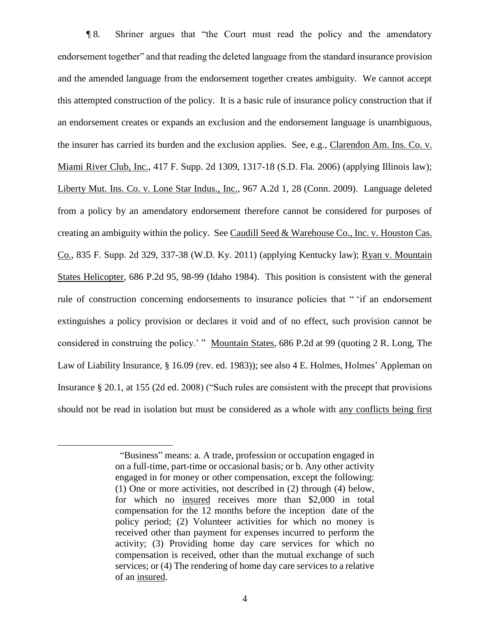¶ 8. Shriner argues that "the Court must read the policy and the amendatory endorsement together" and that reading the deleted language from the standard insurance provision and the amended language from the endorsement together creates ambiguity. We cannot accept this attempted construction of the policy. It is a basic rule of insurance policy construction that if an endorsement creates or expands an exclusion and the endorsement language is unambiguous, the insurer has carried its burden and the exclusion applies. See, e.g., Clarendon Am. Ins. Co. v. Miami River Club, Inc., 417 F. Supp. 2d 1309, 1317-18 (S.D. Fla. 2006) (applying Illinois law); Liberty Mut. Ins. Co. v. Lone Star Indus., Inc., 967 A.2d 1, 28 (Conn. 2009). Language deleted from a policy by an amendatory endorsement therefore cannot be considered for purposes of creating an ambiguity within the policy. See Caudill Seed & Warehouse Co., Inc. v. Houston Cas. Co., 835 F. Supp. 2d 329, 337-38 (W.D. Ky. 2011) (applying Kentucky law); Ryan v. Mountain States Helicopter, 686 P.2d 95, 98-99 (Idaho 1984). This position is consistent with the general rule of construction concerning endorsements to insurance policies that " 'if an endorsement extinguishes a policy provision or declares it void and of no effect, such provision cannot be considered in construing the policy.' " Mountain States, 686 P.2d at 99 (quoting 2 R. Long, The Law of Liability Insurance, § 16.09 (rev. ed. 1983)); see also 4 E. Holmes, Holmes' Appleman on Insurance § 20.1, at 155 (2d ed. 2008) ("Such rules are consistent with the precept that provisions should not be read in isolation but must be considered as a whole with any conflicts being first

 <sup>&</sup>quot;Business" means: a. A trade, profession or occupation engaged in on a full-time, part-time or occasional basis; or b. Any other activity engaged in for money or other compensation, except the following: (1) One or more activities, not described in (2) through (4) below, for which no insured receives more than \$2,000 in total compensation for the 12 months before the inception date of the policy period; (2) Volunteer activities for which no money is received other than payment for expenses incurred to perform the activity; (3) Providing home day care services for which no compensation is received, other than the mutual exchange of such services; or (4) The rendering of home day care services to a relative of an insured.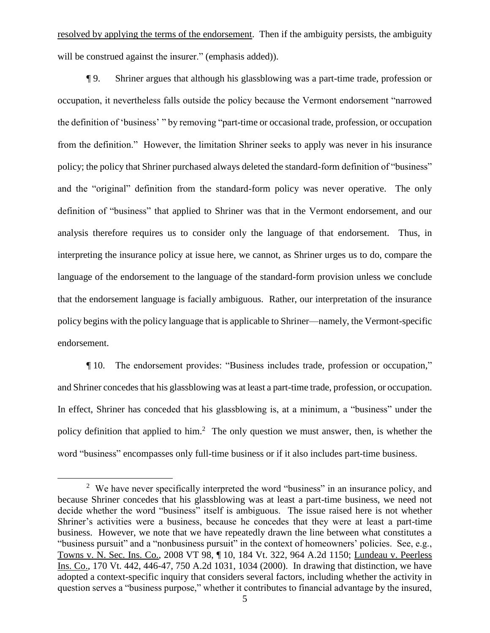resolved by applying the terms of the endorsement. Then if the ambiguity persists, the ambiguity will be construed against the insurer." (emphasis added)).

¶ 9. Shriner argues that although his glassblowing was a part-time trade, profession or occupation, it nevertheless falls outside the policy because the Vermont endorsement "narrowed the definition of 'business' " by removing "part-time or occasional trade, profession, or occupation from the definition." However, the limitation Shriner seeks to apply was never in his insurance policy; the policy that Shriner purchased always deleted the standard-form definition of "business" and the "original" definition from the standard-form policy was never operative. The only definition of "business" that applied to Shriner was that in the Vermont endorsement, and our analysis therefore requires us to consider only the language of that endorsement. Thus, in interpreting the insurance policy at issue here, we cannot, as Shriner urges us to do, compare the language of the endorsement to the language of the standard-form provision unless we conclude that the endorsement language is facially ambiguous. Rather, our interpretation of the insurance policy begins with the policy language that is applicable to Shriner—namely, the Vermont-specific endorsement.

¶ 10. The endorsement provides: "Business includes trade, profession or occupation," and Shriner concedes that his glassblowing was at least a part-time trade, profession, or occupation. In effect, Shriner has conceded that his glassblowing is, at a minimum, a "business" under the policy definition that applied to him.<sup>2</sup> The only question we must answer, then, is whether the word "business" encompasses only full-time business or if it also includes part-time business.

<sup>&</sup>lt;sup>2</sup> We have never specifically interpreted the word "business" in an insurance policy, and because Shriner concedes that his glassblowing was at least a part-time business, we need not decide whether the word "business" itself is ambiguous. The issue raised here is not whether Shriner's activities were a business, because he concedes that they were at least a part-time business. However, we note that we have repeatedly drawn the line between what constitutes a "business pursuit" and a "nonbusiness pursuit" in the context of homeowners' policies. See, e.g., Towns v. N. Sec. Ins. Co., 2008 VT 98, ¶ 10, 184 Vt. 322, 964 A.2d 1150; Lundeau v. Peerless Ins. Co., 170 Vt. 442, 446-47, 750 A.2d 1031, 1034 (2000). In drawing that distinction, we have adopted a context-specific inquiry that considers several factors, including whether the activity in question serves a "business purpose," whether it contributes to financial advantage by the insured,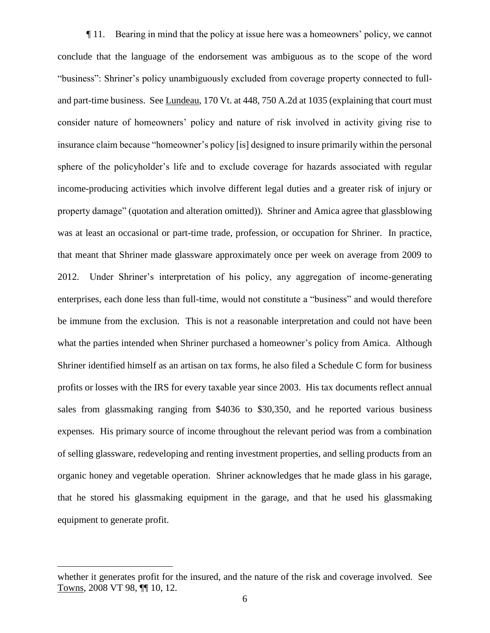¶ 11. Bearing in mind that the policy at issue here was a homeowners' policy, we cannot conclude that the language of the endorsement was ambiguous as to the scope of the word "business": Shriner's policy unambiguously excluded from coverage property connected to fulland part-time business. See Lundeau, 170 Vt. at 448, 750 A.2d at 1035 (explaining that court must consider nature of homeowners' policy and nature of risk involved in activity giving rise to insurance claim because "homeowner's policy [is] designed to insure primarily within the personal sphere of the policyholder's life and to exclude coverage for hazards associated with regular income-producing activities which involve different legal duties and a greater risk of injury or property damage" (quotation and alteration omitted)). Shriner and Amica agree that glassblowing was at least an occasional or part-time trade, profession, or occupation for Shriner. In practice, that meant that Shriner made glassware approximately once per week on average from 2009 to 2012. Under Shriner's interpretation of his policy, any aggregation of income-generating enterprises, each done less than full-time, would not constitute a "business" and would therefore be immune from the exclusion. This is not a reasonable interpretation and could not have been what the parties intended when Shriner purchased a homeowner's policy from Amica. Although Shriner identified himself as an artisan on tax forms, he also filed a Schedule C form for business profits or losses with the IRS for every taxable year since 2003. His tax documents reflect annual sales from glassmaking ranging from \$4036 to \$30,350, and he reported various business expenses. His primary source of income throughout the relevant period was from a combination of selling glassware, redeveloping and renting investment properties, and selling products from an organic honey and vegetable operation. Shriner acknowledges that he made glass in his garage, that he stored his glassmaking equipment in the garage, and that he used his glassmaking equipment to generate profit.

whether it generates profit for the insured, and the nature of the risk and coverage involved. See Towns, 2008 VT 98, ¶¶ 10, 12.